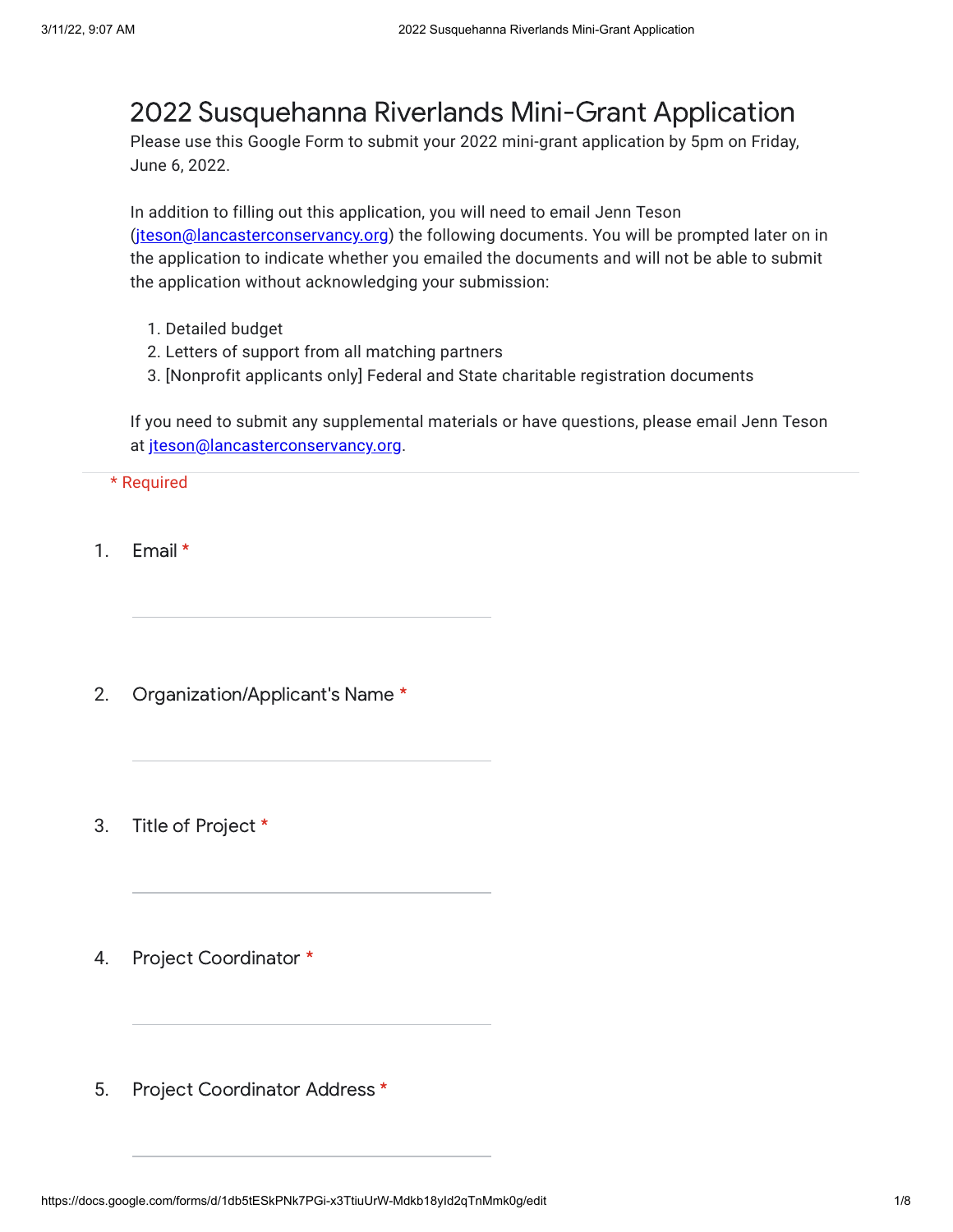## 2022 Susquehanna Riverlands Mini-Grant Application

Please use this Google Form to submit your 2022 mini-grant application by 5pm on Friday, June 6, 2022.

In addition to filling out this application, you will need to email Jenn Teson ([jteson@lancasterconservancy.org\)](mailto:jteson@lancasterconservancy.org) the following documents. You will be prompted later on in the application to indicate whether you emailed the documents and will not be able to submit the application without acknowledging your submission:

- 1. Detailed budget
- 2. Letters of support from all matching partners
- 3. [Nonprofit applicants only] Federal and State charitable registration documents

If you need to submit any supplemental materials or have questions, please email Jenn Teson at [jteson@lancasterconservancy.org](mailto:jteson@lancasterconservancy.org).

\* Required

- 1. Email \*
- 2. Organization/Applicant's Name \*
- 3. Title of Project \*
- 4. Project Coordinator \*
- 5. Project Coordinator Address \*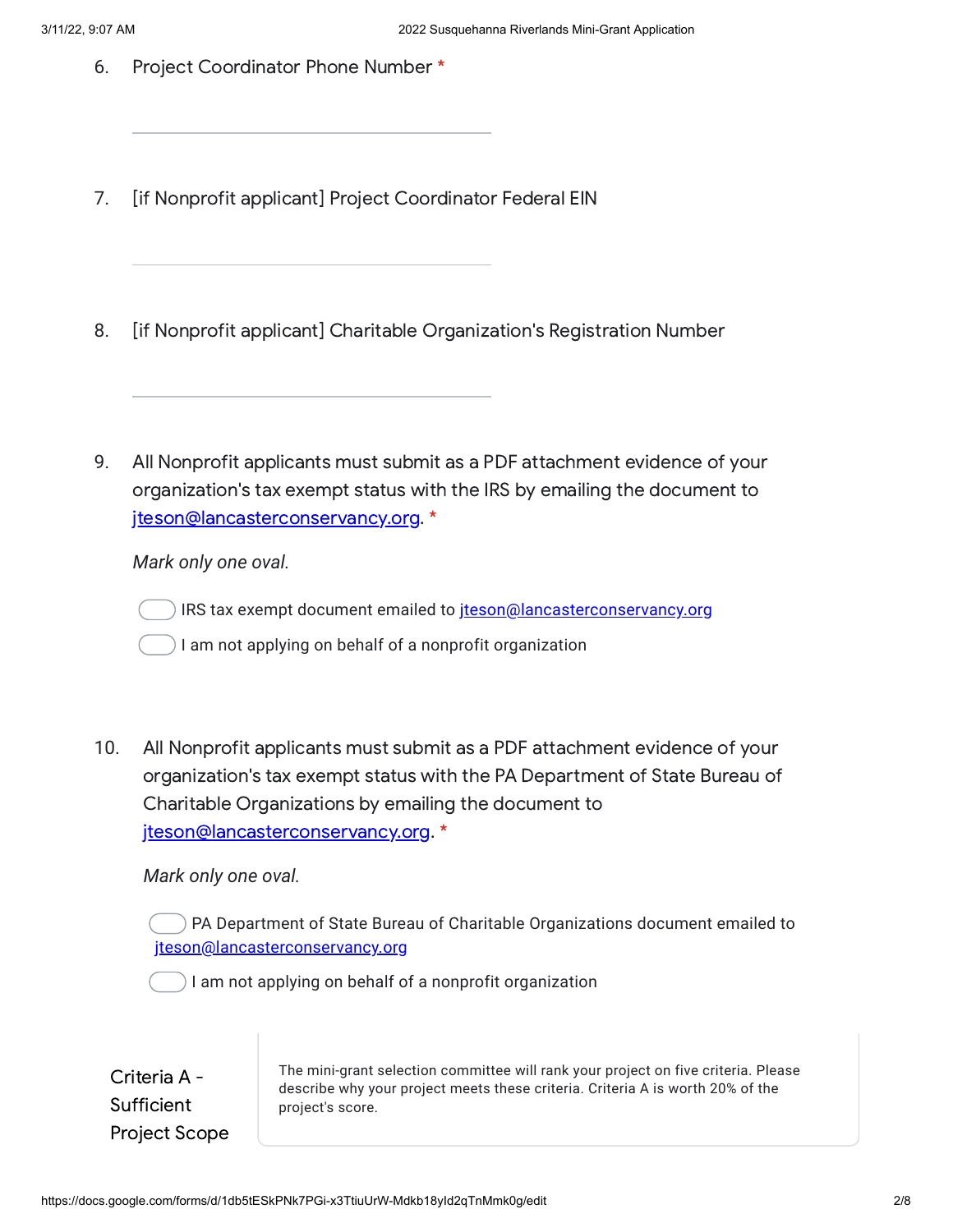- 6. Project Coordinator Phone Number \*
- 7. [if Nonprofit applicant] Project Coordinator Federal EIN
- 8. [if Nonprofit applicant] Charitable Organization's Registration Number
- 9. All Nonprofit applicants must submit as a PDF attachment evidence of your organization's tax exempt status with the IRS by emailing the document to [jteson@lancasterconservancy.org](mailto:jteson@lancasterconservancy.org). \*

*Mark only one oval.*

IRS tax exempt document emailed to [jteson@lancasterconservancy.org](mailto:jteson@lancasterconservancy.org)

I am not applying on behalf of a nonprofit organization

10. All Nonprofit applicants must submit as a PDF attachment evidence of your organization's tax exempt status with the PA Department of State Bureau of Charitable Organizations by emailing the document to [jteson@lancasterconservancy.org](mailto:jteson@lancasterconservancy.org). \*

*Mark only one oval.*

PA Department of State Bureau of Charitable Organizations document emailed to [jteson@lancasterconservancy.org](mailto:jteson@lancasterconservancy.org)

I am not applying on behalf of a nonprofit organization

Criteria A - **Sufficient** Project Scope The mini-grant selection committee will rank your project on five criteria. Please describe why your project meets these criteria. Criteria A is worth 20% of the project's score.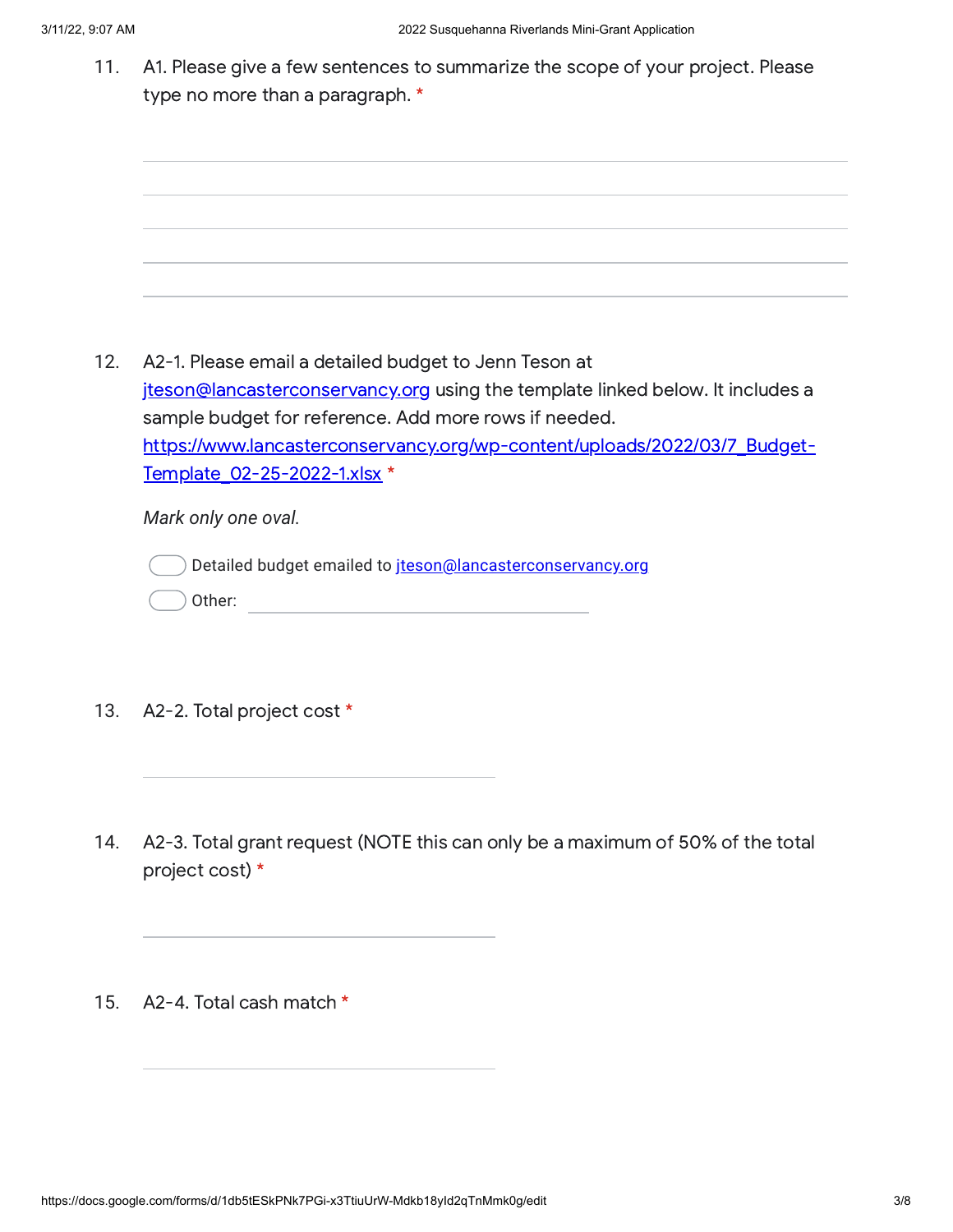11. A1. Please give a few sentences to summarize the scope of your project. Please type no more than a paragraph. \*

12. A2-1. Please email a detailed budget to Jenn Teson at [jteson@lancasterconservancy.org](mailto:jteson@lancasterconservancy.org) using the template linked below. It includes a sample budget for reference. Add more rows if needed. [https://www.lancasterconservancy.org/wp-content/uploads/2022/03/7\\_Budget-](https://www.google.com/url?q=https://www.lancasterconservancy.org/wp-content/uploads/2022/03/7_Budget-Template_02-25-2022-1.xlsx&sa=D&source=editors&ust=1647011229568875&usg=AOvVaw3ON6l2dPuSSHRNbmBeYQqm)Template\_02-25-2022-1.xlsx \*

*Mark only one oval.*

Detailed budget emailed to [jteson@lancasterconservancy.org](mailto:jteson@lancasterconservancy.org)

- Other:
- 13. A2-2. Total project cost \*
- 14. A2-3. Total grant request (NOTE this can only be a maximum of 50% of the total project cost) \*
- 15. A2-4. Total cash match \*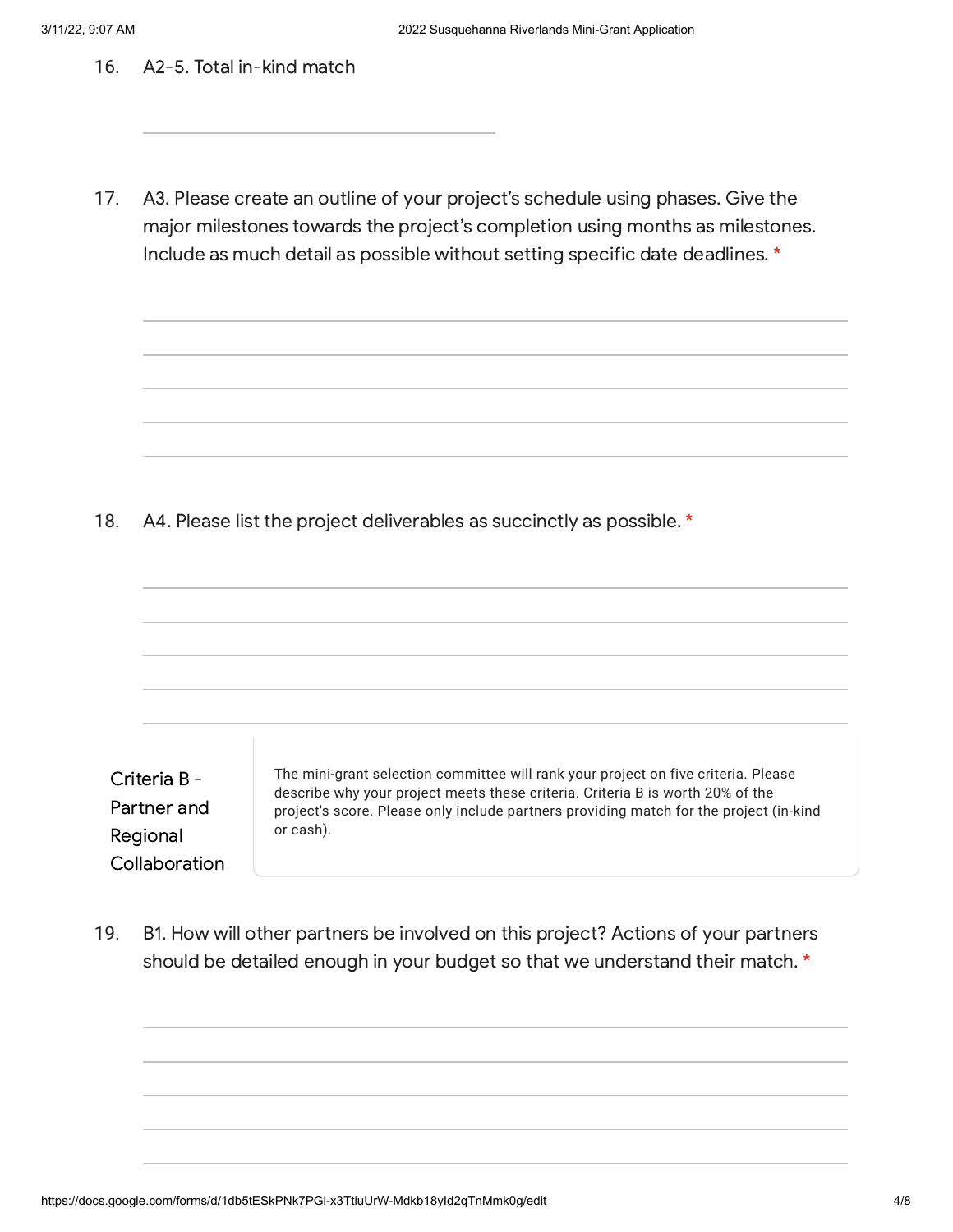16. A2-5. Total in-kind match

17. A3. Please create an outline of your project's schedule using phases. Give the major milestones towards the project's completion using months as milestones. Include as much detail as possible without setting specific date deadlines. \*

18. A4. Please list the project deliverables as succinctly as possible. \*

Criteria B - Partner and Regional **Collaboration** The mini-grant selection committee will rank your project on five criteria. Please describe why your project meets these criteria. Criteria B is worth 20% of the project's score. Please only include partners providing match for the project (in-kind or cash).

19. B1. How will other partners be involved on this project? Actions of your partners should be detailed enough in your budget so that we understand their match. \*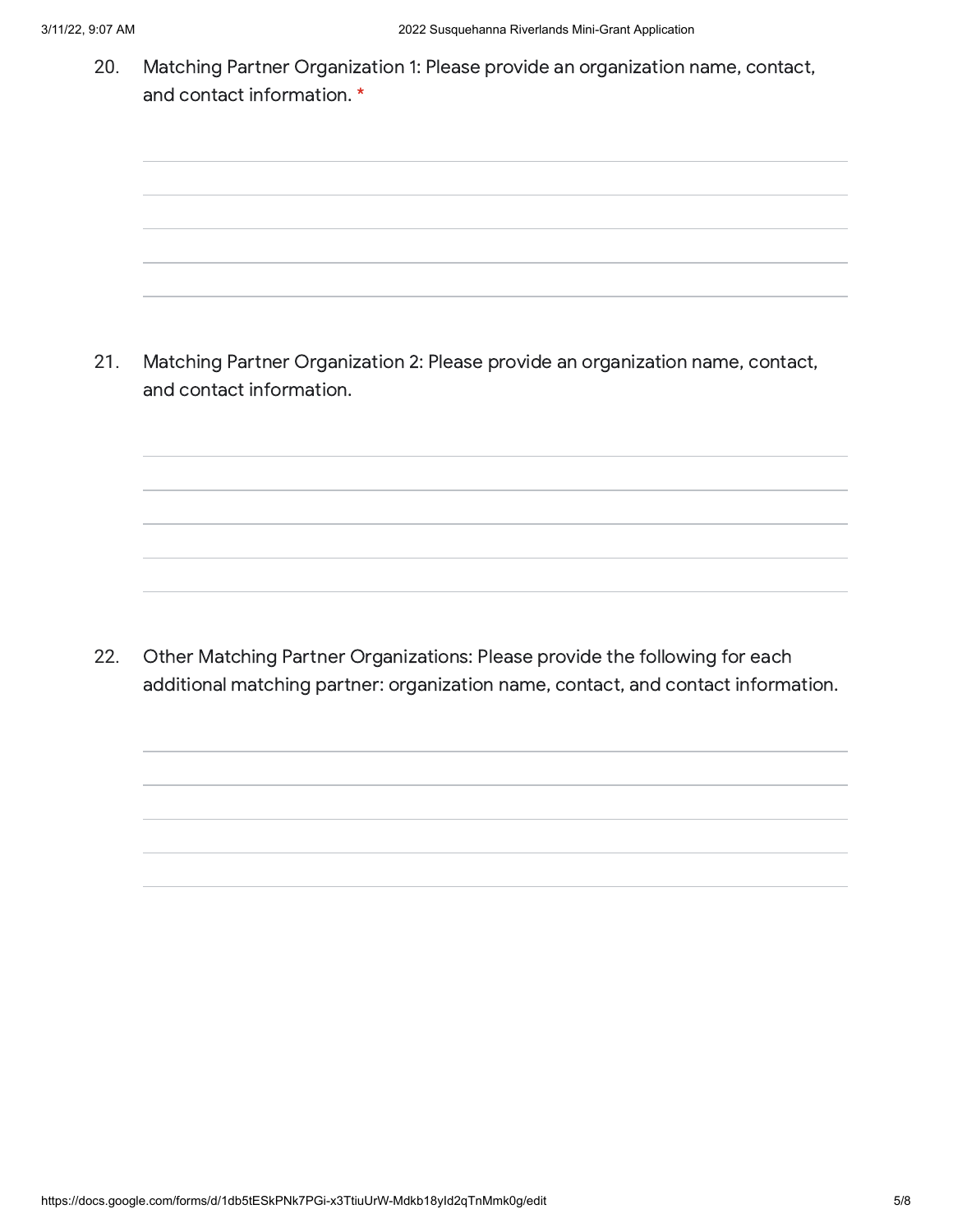20. Matching Partner Organization 1: Please provide an organization name, contact, and contact information. \*

21. Matching Partner Organization 2: Please provide an organization name, contact, and contact information.

22. Other Matching Partner Organizations: Please provide the following for each additional matching partner: organization name, contact, and contact information.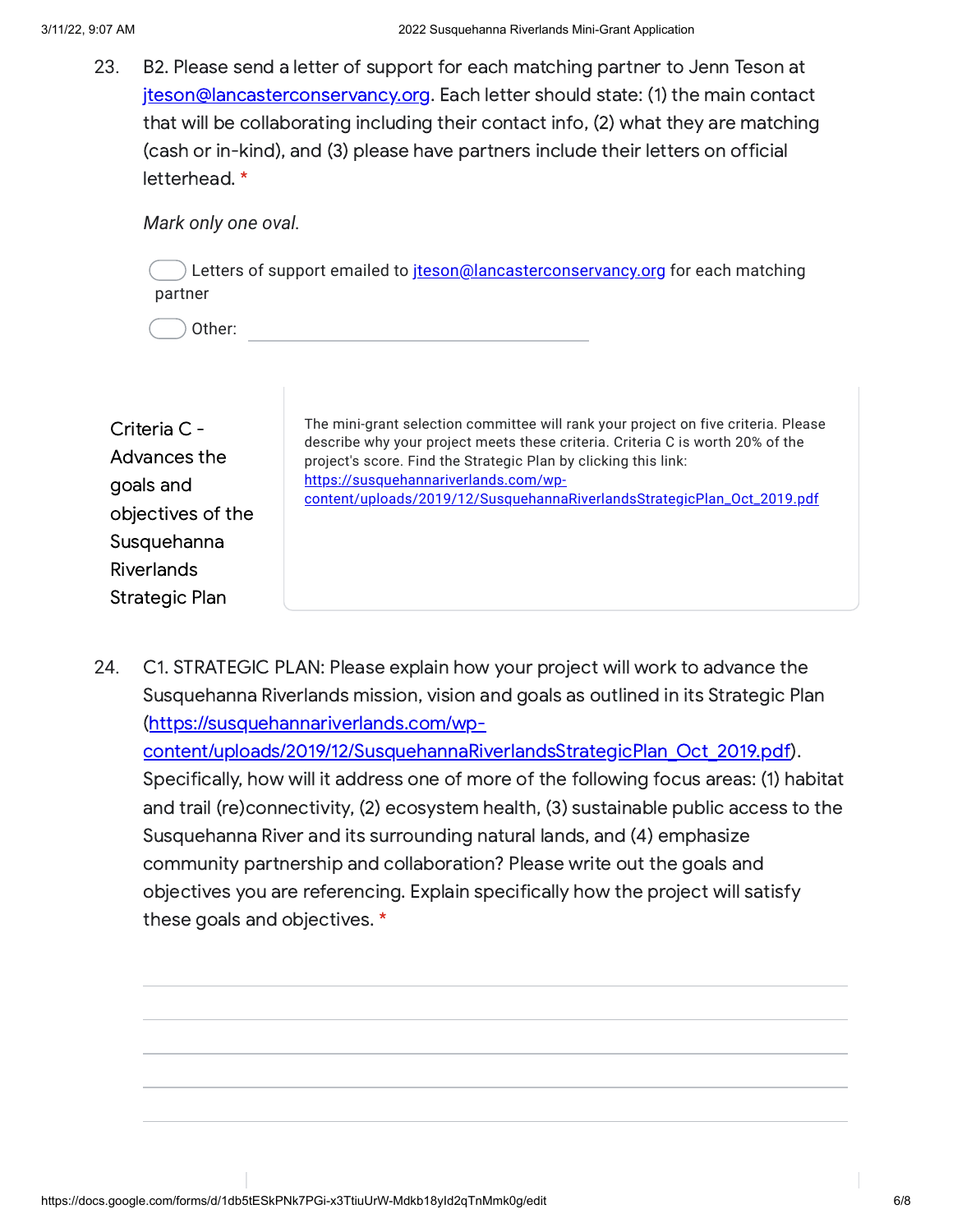23. B2. Please send a letter of support for each matching partner to Jenn Teson at [jteson@lancasterconservancy.org](mailto:jteson@lancasterconservancy.org). Each letter should state: (1) the main contact that will be collaborating including their contact info, (2) what they are matching (cash or in-kind), and (3) please have partners include their letters on official letterhead. \*

*Mark only one oval.*

) Letters of support emailed to [jteson@lancasterconservancy.org](mailto:jteson@lancasterconservancy.org) for each matching partner

Other:

| Criteria C -<br>Advances the<br>goals and<br>objectives of the<br>Susquehanna<br><b>Riverlands</b> | The mini-grant selection committee will rank your project on five criteria. Please<br>describe why your project meets these criteria. Criteria C is worth 20% of the<br>project's score. Find the Strategic Plan by clicking this link:<br>https://susquehannariverlands.com/wp-<br>content/uploads/2019/12/SusquehannaRiverlandsStrategicPlan_Oct_2019.pdf |
|----------------------------------------------------------------------------------------------------|-------------------------------------------------------------------------------------------------------------------------------------------------------------------------------------------------------------------------------------------------------------------------------------------------------------------------------------------------------------|
| Strategic Plan                                                                                     |                                                                                                                                                                                                                                                                                                                                                             |

24. C1. STRATEGIC PLAN: Please explain how your project will work to advance the Susquehanna Riverlands mission, vision and goals as outlined in its Strategic Plan (https://susquehannariverlands.com/wp[content/uploads/2019/12/SusquehannaRiverlandsStrategicPlan\\_Oct\\_2019.pdf](https://www.google.com/url?q=https://susquehannariverlands.com/wp-content/uploads/2019/12/SusquehannaRiverlandsStrategicPlan_Oct_2019.pdf&sa=D&source=editors&ust=1647011229571269&usg=AOvVaw3nCEX0Ay-lOunl5j9K5IuA)). Specifically, how will it address one of more of the following focus areas: (1) habitat and trail (re)connectivity, (2) ecosystem health, (3) sustainable public access to the Susquehanna River and its surrounding natural lands, and (4) emphasize community partnership and collaboration? Please write out the goals and objectives you are referencing. Explain specifically how the project will satisfy these goals and objectives. \*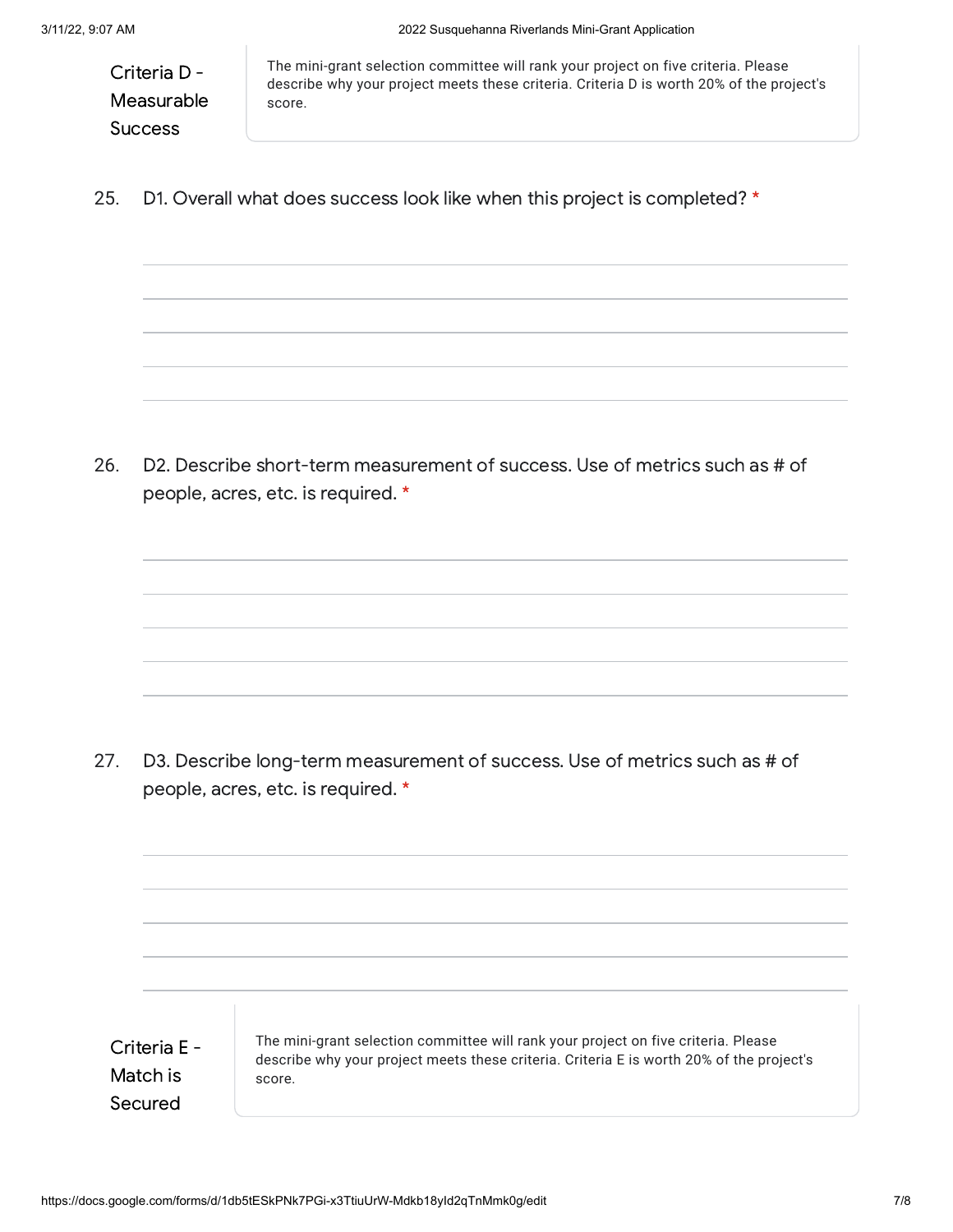Criteria D - Measurable **Success** 

The mini-grant selection committee will rank your project on five criteria. Please describe why your project meets these criteria. Criteria D is worth 20% of the project's score.

25. D1. Overall what does success look like when this project is completed? \*

26. D2. Describe short-term measurement of success. Use of metrics such as # of people, acres, etc. is required. \*

27. D3. Describe long-term measurement of success. Use of metrics such as # of people, acres, etc. is required. \*

Criteria E - Match is Secured

The mini-grant selection committee will rank your project on five criteria. Please describe why your project meets these criteria. Criteria E is worth 20% of the project's score.